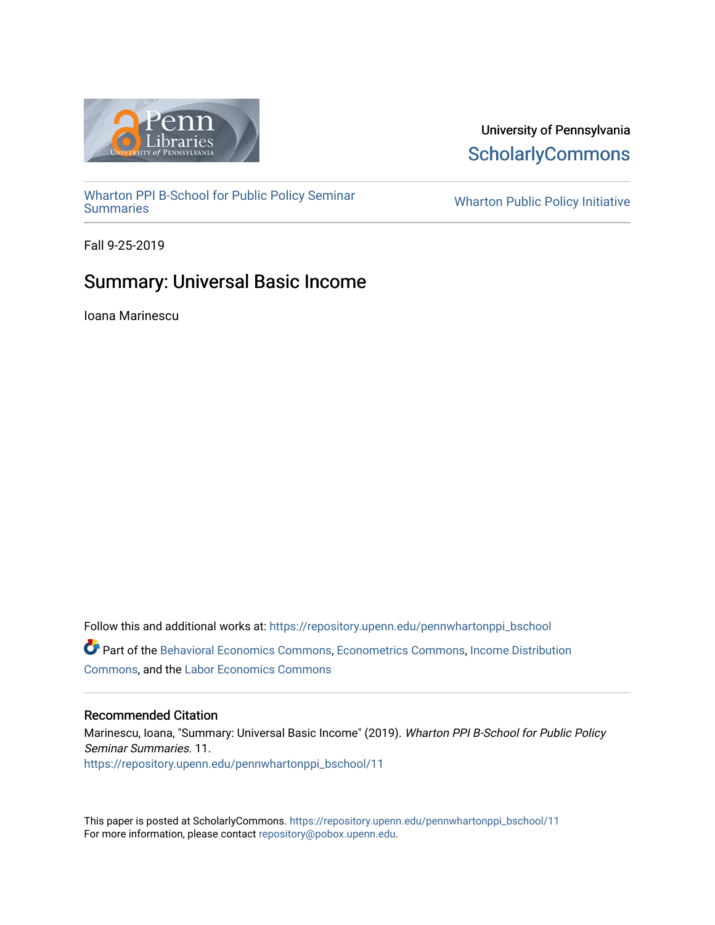

# University of Pennsylvania **ScholarlyCommons**

[Wharton PPI B-School for Public Policy Seminar](https://repository.upenn.edu/pennwhartonppi_bschool)

**Wharton Public Policy Initiative** 

Fall 9-25-2019

# Summary: Universal Basic Income

Ioana Marinescu

Follow this and additional works at: [https://repository.upenn.edu/pennwhartonppi\\_bschool](https://repository.upenn.edu/pennwhartonppi_bschool?utm_source=repository.upenn.edu%2Fpennwhartonppi_bschool%2F11&utm_medium=PDF&utm_campaign=PDFCoverPages)  Part of the [Behavioral Economics Commons](http://network.bepress.com/hgg/discipline/341?utm_source=repository.upenn.edu%2Fpennwhartonppi_bschool%2F11&utm_medium=PDF&utm_campaign=PDFCoverPages), [Econometrics Commons](http://network.bepress.com/hgg/discipline/342?utm_source=repository.upenn.edu%2Fpennwhartonppi_bschool%2F11&utm_medium=PDF&utm_campaign=PDFCoverPages), [Income Distribution](http://network.bepress.com/hgg/discipline/1269?utm_source=repository.upenn.edu%2Fpennwhartonppi_bschool%2F11&utm_medium=PDF&utm_campaign=PDFCoverPages)  [Commons](http://network.bepress.com/hgg/discipline/1269?utm_source=repository.upenn.edu%2Fpennwhartonppi_bschool%2F11&utm_medium=PDF&utm_campaign=PDFCoverPages), and the [Labor Economics Commons](http://network.bepress.com/hgg/discipline/349?utm_source=repository.upenn.edu%2Fpennwhartonppi_bschool%2F11&utm_medium=PDF&utm_campaign=PDFCoverPages)

#### Recommended Citation

Marinescu, Ioana, "Summary: Universal Basic Income" (2019). Wharton PPI B-School for Public Policy Seminar Summaries. 11. [https://repository.upenn.edu/pennwhartonppi\\_bschool/11](https://repository.upenn.edu/pennwhartonppi_bschool/11?utm_source=repository.upenn.edu%2Fpennwhartonppi_bschool%2F11&utm_medium=PDF&utm_campaign=PDFCoverPages) 

This paper is posted at ScholarlyCommons. [https://repository.upenn.edu/pennwhartonppi\\_bschool/11](https://repository.upenn.edu/pennwhartonppi_bschool/11) For more information, please contact [repository@pobox.upenn.edu.](mailto:repository@pobox.upenn.edu)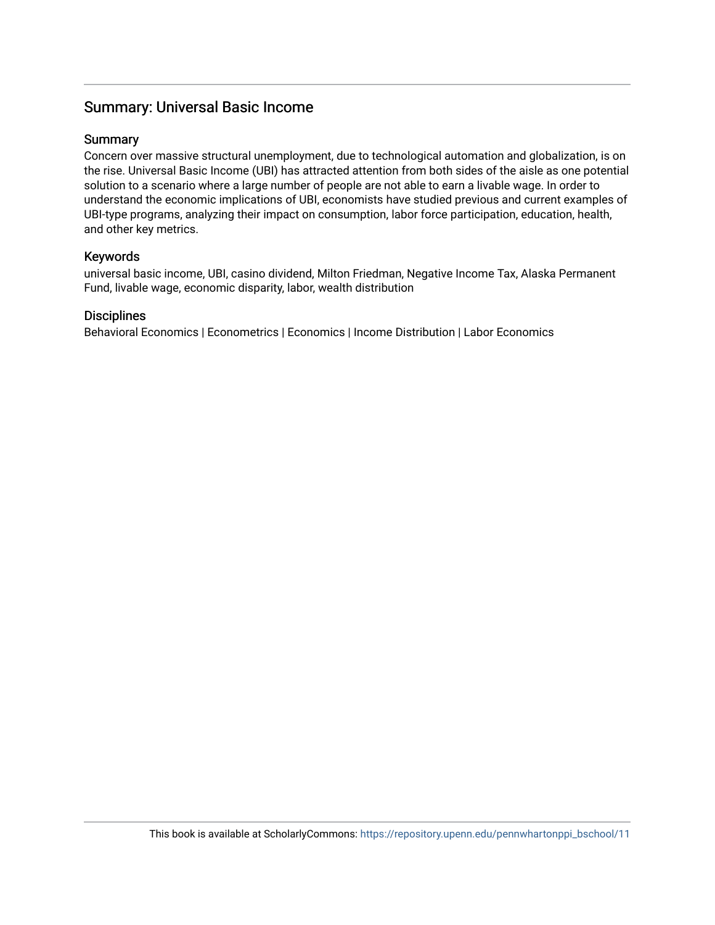## Summary: Universal Basic Income

### **Summary**

Concern over massive structural unemployment, due to technological automation and globalization, is on the rise. Universal Basic Income (UBI) has attracted attention from both sides of the aisle as one potential solution to a scenario where a large number of people are not able to earn a livable wage. In order to understand the economic implications of UBI, economists have studied previous and current examples of UBI-type programs, analyzing their impact on consumption, labor force participation, education, health, and other key metrics.

### Keywords

universal basic income, UBI, casino dividend, Milton Friedman, Negative Income Tax, Alaska Permanent Fund, livable wage, economic disparity, labor, wealth distribution

### **Disciplines**

Behavioral Economics | Econometrics | Economics | Income Distribution | Labor Economics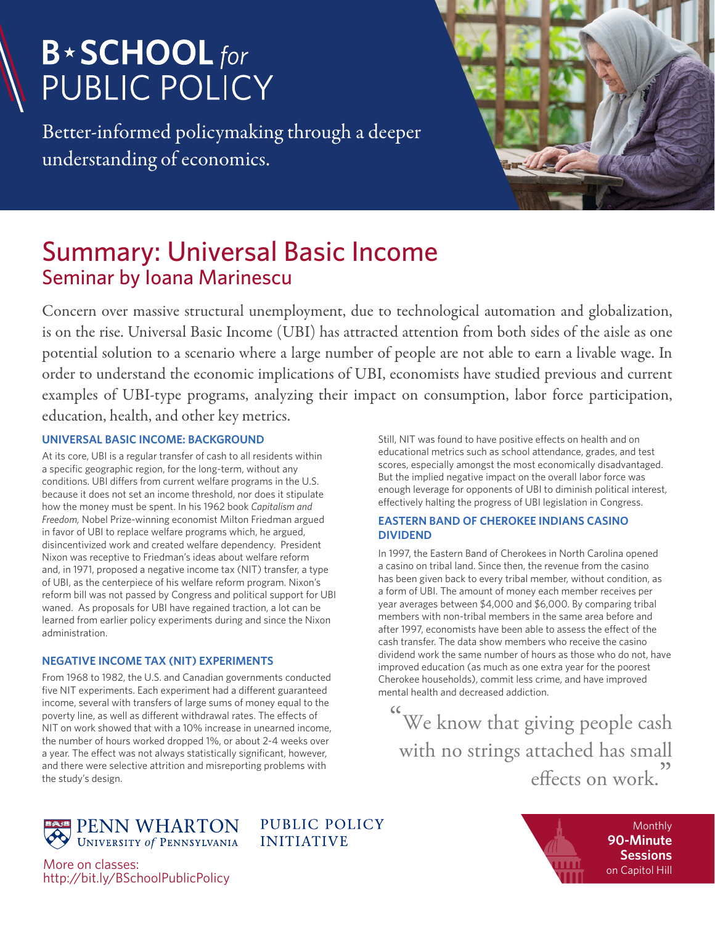# **B**\*SCHOOL for **PUBLIC POLICY**

Better-informed policymaking through a deeper understanding of economics.



# Summary: Universal Basic Income Seminar by Ioana Marinescu

Concern over massive structural unemployment, due to technological automation and globalization, is on the rise. Universal Basic Income (UBI) has attracted attention from both sides of the aisle as one potential solution to a scenario where a large number of people are not able to earn a livable wage. In order to understand the economic implications of UBI, economists have studied previous and current examples of UBI-type programs, analyzing their impact on consumption, labor force participation, education, health, and other key metrics.

### **UNIVERSAL BASIC INCOME: BACKGROUND**

At its core, UBI is a regular transfer of cash to all residents within a specific geographic region, for the long-term, without any conditions. UBI differs from current welfare programs in the U.S. because it does not set an income threshold, nor does it stipulate how the money must be spent. In his 1962 book *Capitalism and Freedom,* Nobel Prize-winning economist Milton Friedman argued in favor of UBI to replace welfare programs which, he argued, disincentivized work and created welfare dependency. President Nixon was receptive to Friedman's ideas about welfare reform and, in 1971, proposed a negative income tax (NIT) transfer, a type of UBI, as the centerpiece of his welfare reform program. Nixon's reform bill was not passed by Congress and political support for UBI waned. As proposals for UBI have regained traction, a lot can be learned from earlier policy experiments during and since the Nixon administration.

### **NEGATIVE INCOME TAX (NIT) EXPERIMENTS**

From 1968 to 1982, the U.S. and Canadian governments conducted five NIT experiments. Each experiment had a different guaranteed income, several with transfers of large sums of money equal to the poverty line, as well as different withdrawal rates. The effects of NIT on work showed that with a 10% increase in unearned income, the number of hours worked dropped 1%, or about 2-4 weeks over a year. The effect was not always statistically significant, however, and there were selective attrition and misreporting problems with the study's design.

Still, NIT was found to have positive effects on health and on educational metrics such as school attendance, grades, and test scores, especially amongst the most economically disadvantaged. But the implied negative impact on the overall labor force was enough leverage for opponents of UBI to diminish political interest, effectively halting the progress of UBI legislation in Congress.

#### **EASTERN BAND OF CHEROKEE INDIANS CASINO DIVIDEND**

In 1997, the Eastern Band of Cherokees in North Carolina opened a casino on tribal land. Since then, the revenue from the casino has been given back to every tribal member, without condition, as a form of UBI. The amount of money each member receives per year averages between \$4,000 and \$6,000. By comparing tribal members with non-tribal members in the same area before and after 1997, economists have been able to assess the effect of the cash transfer. The data show members who receive the casino dividend work the same number of hours as those who do not, have improved education (as much as one extra year for the poorest Cherokee households), commit less crime, and have improved mental health and decreased addiction.

 $\frac{1}{\sqrt{2}}$ We know that giving people cash with no strings attached has small effects on work. )<br>)<br>|

PENN WHARTON

**PUBLIC POLICY INITIATIVE** 



More on classes: http://bit.ly/BSchoolPublicPolicy